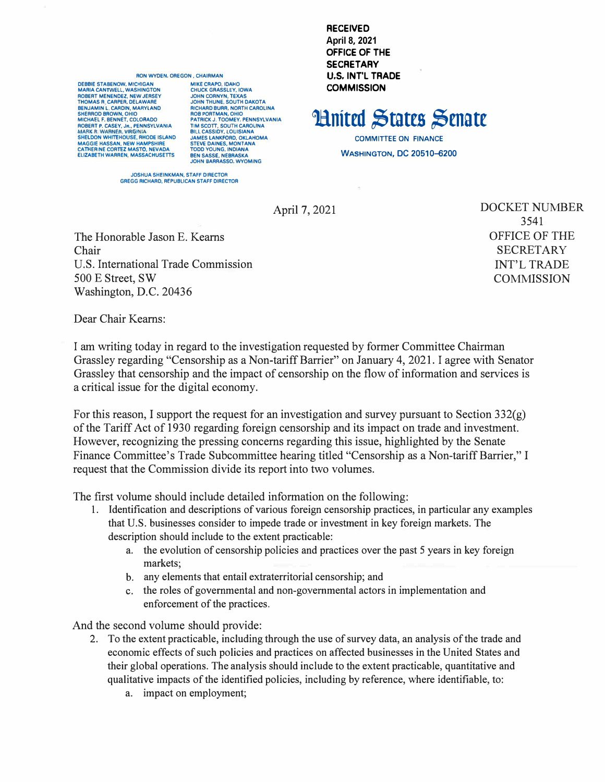## **RON WYDEN, OREGON, CHAIRMAN**

**DEBBIE STABENOW, MICHIGAN MARIA CANTWELL, WASHINGTON** ROBERT MENENDEZ, NEW JERSEY<br>THOMAS R. CARPER, DELAWARE BENJAMIN L. CARDIN, MARYLAND SHEBBOD BROWN OHIO MICHAEL F. BENNET, COLORADO ROBERT P. CASEY, JR., PENNSYLVANIA<br>MARK R. WARNER, VIRGINIA SHELDON WHITEHOUSE, RHODE ISLAND<br>MAGGIE HASSAN, NEW HAMPSHIRE<br>CATHERINE CORTEZ MASTO, NEVADA **ELIZABETH WARREN, MASSACHUSETTS** 

MIKE CRAPO, IDAHO **CHUCK GRASSLEY, IOWA** JOHN CORNYN, TEXAS<br>JOHN THUNE, SOUTH DAKOTA RICHARD BURR, NORTH CAROLINA **ROB PORTMAN, OHIO<br>PATRICK J. TOOMEY, PENNSYLVANIA<br>TIM SCOTT, SOUTH CAROLINA** BILL CASSIDY, LOUISIANA<br>JAMES LANKFORD, OKLAHOMA<br>STEVE DAINES, MONTANA **TODD YOUNG, INDIANA REN SASSE NERRASKA** JOHN BARRASSO, WYOMING

**RECEIVED April 8, 2021** OFFICE OF THE **SECRETARY U.S. INT'L TRADE COMMISSION** 

**Hnited States Senate** 

**COMMITTEE ON FINANCE WASHINGTON, DC 20510-6200** 

JOSHUA SHEINKMAN, STAFF DIRECTOR<br>GREGG RICHARD, REPUBLICAN STAFF DIRECTOR

April 7, 2021

The Honorable Jason E. Kearns Chair U.S. International Trade Commission 500 E Street, SW Washington, D.C. 20436

**DOCKET NUMBER** 3541 **OFFICE OF THE SECRETARY INT'L TRADE COMMISSION** 

Dear Chair Kearns:

I am writing today in regard to the investigation requested by former Committee Chairman Grassley regarding "Censorship as a Non-tariff Barrier" on January 4, 2021. I agree with Senator Grassley that censorship and the impact of censorship on the flow of information and services is a critical issue for the digital economy.

For this reason, I support the request for an investigation and survey pursuant to Section  $332(g)$ of the Tariff Act of 1930 regarding foreign censorship and its impact on trade and investment. However, recognizing the pressing concerns regarding this issue, highlighted by the Senate Finance Committee's Trade Subcommittee hearing titled "Censorship as a Non-tariff Barrier," I request that the Commission divide its report into two volumes.

The first volume should include detailed information on the following:

- 1. Identification and descriptions of various foreign censorship practices, in particular any examples that U.S. businesses consider to impede trade or investment in key foreign markets. The description should include to the extent practicable:
	- the evolution of censorship policies and practices over the past 5 years in key foreign a. markets:
	- b. any elements that entail extraterritorial censorship; and
	- the roles of governmental and non-governmental actors in implementation and  $c_{\cdot}$ enforcement of the practices.

And the second volume should provide:

- 2. To the extent practicable, including through the use of survey data, an analysis of the trade and economic effects of such policies and practices on affected businesses in the United States and their global operations. The analysis should include to the extent practicable, quantitative and qualitative impacts of the identified policies, including by reference, where identifiable, to:
	- a. impact on employment;